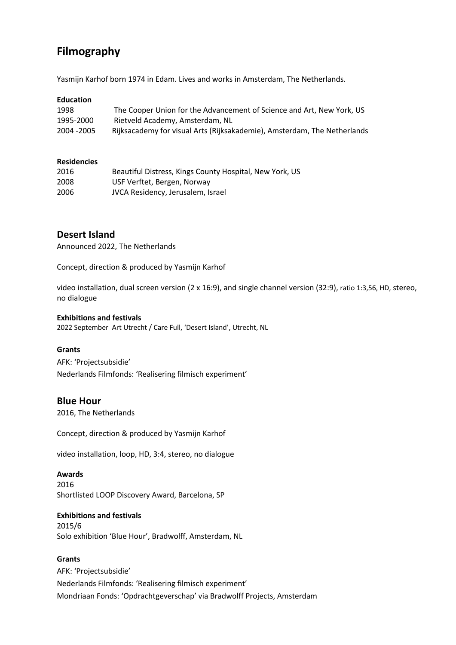# **Filmography**

Yasmijn Karhof born 1974 in Edam. Lives and works in Amsterdam, The Netherlands.

### **Education**

| 1998        | The Cooper Union for the Advancement of Science and Art, New York, US    |
|-------------|--------------------------------------------------------------------------|
| 1995-2000   | Rietveld Academy, Amsterdam, NL                                          |
| 2004 - 2005 | Rijksacademy for visual Arts (Rijksakademie), Amsterdam, The Netherlands |

#### **Residencies**

| 2016 | Beautiful Distress, Kings County Hospital, New York, US |
|------|---------------------------------------------------------|
| 2008 | USF Verftet, Bergen, Norway                             |
| 2006 | JVCA Residency, Jerusalem, Israel                       |

# **Desert Island**

Announced 2022, The Netherlands

Concept, direction & produced by Yasmijn Karhof

video installation, dual screen version (2 x 16:9), and single channel version (32:9), ratio 1:3,56, HD, stereo, no dialogue

#### **Exhibitions and festivals**

2022 September Art Utrecht / Care Full, 'Desert Island', Utrecht, NL

### **Grants**

AFK: 'Projectsubsidie' Nederlands Filmfonds: 'Realisering filmisch experiment'

# **Blue Hour**

2016, The Netherlands

Concept, direction & produced by Yasmijn Karhof

video installation, loop, HD, 3:4, stereo, no dialogue

#### **Awards**

2016 Shortlisted LOOP Discovery Award, Barcelona, SP

## **Exhibitions and festivals**

2015/6 Solo exhibition 'Blue Hour', Bradwolff, Amsterdam, NL

### **Grants**

AFK: 'Projectsubsidie' Nederlands Filmfonds: 'Realisering filmisch experiment' Mondriaan Fonds: 'Opdrachtgeverschap' via Bradwolff Projects, Amsterdam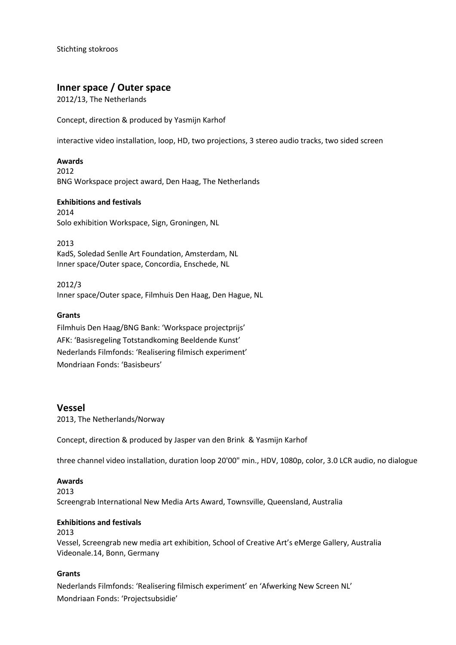Stichting stokroos

# **Inner space / Outer space**

2012/13, The Netherlands

Concept, direction & produced by Yasmijn Karhof

interactive video installation, loop, HD, two projections, 3 stereo audio tracks, two sided screen

### **Awards**

2012 BNG Workspace project award, Den Haag, The Netherlands

### **Exhibitions and festivals**

2014 Solo exhibition Workspace, Sign, Groningen, NL

2013 KadS, Soledad Senlle Art Foundation, Amsterdam, NL Inner space/Outer space, Concordia, Enschede, NL

2012/3 Inner space/Outer space, Filmhuis Den Haag, Den Hague, NL

### **Grants**

Filmhuis Den Haag/BNG Bank: 'Workspace projectprijs' AFK: 'Basisregeling Totstandkoming Beeldende Kunst' Nederlands Filmfonds: 'Realisering filmisch experiment' Mondriaan Fonds: 'Basisbeurs'

# **Vessel**

2013, The Netherlands/Norway

Concept, direction & produced by Jasper van den Brink & Yasmijn Karhof

three channel video installation, duration loop 20'00" min., HDV, 1080p, color, 3.0 LCR audio, no dialogue

### **Awards**

2013 Screengrab International New Media Arts Award, Townsville, Queensland, Australia

### **Exhibitions and festivals**

2013 Vessel, Screengrab new media art exhibition, School of Creative Art's eMerge Gallery, Australia Videonale.14, Bonn, Germany

### **Grants**

Nederlands Filmfonds: 'Realisering filmisch experiment' en 'Afwerking New Screen NL' Mondriaan Fonds: 'Projectsubsidie'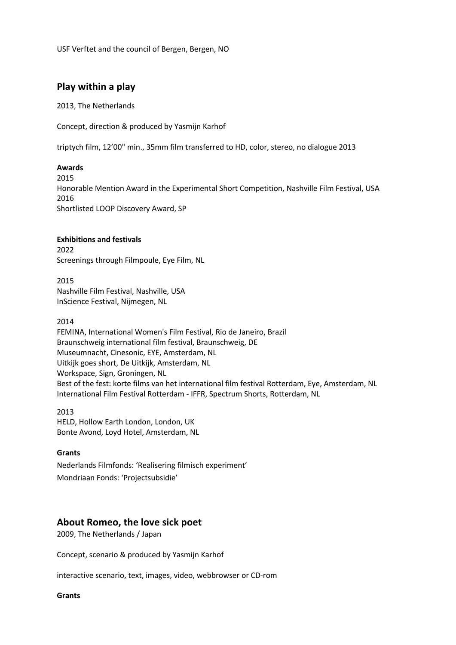USF Verftet and the council of Bergen, Bergen, NO

# **Play within a play**

2013, The Netherlands

Concept, direction & produced by Yasmijn Karhof

triptych film, 12'00" min., 35mm film transferred to HD, color, stereo, no dialogue 2013

## **Awards**

2015 Honorable Mention Award in the Experimental Short Competition, Nashville Film Festival, USA 2016 Shortlisted LOOP Discovery Award, SP

## **Exhibitions and festivals**

2022 Screenings through Filmpoule, Eye Film, NL

2015 Nashville Film Festival, Nashville, USA InScience Festival, Nijmegen, NL

2014

FEMINA, International Women's Film Festival, Rio de Janeiro, Brazil Braunschweig international film festival, Braunschweig, DE Museumnacht, Cinesonic, EYE, Amsterdam, NL Uitkijk goes short, De Uitkijk, Amsterdam, NL Workspace, Sign, Groningen, NL Best of the fest: korte films van het international film festival Rotterdam, Eye, Amsterdam, NL International Film Festival Rotterdam - IFFR, Spectrum Shorts, Rotterdam, NL

2013 HELD, Hollow Earth London, London, UK Bonte Avond, Loyd Hotel, Amsterdam, NL

### **Grants**

Nederlands Filmfonds: 'Realisering filmisch experiment' Mondriaan Fonds: 'Projectsubsidie'

# **About Romeo, the love sick poet**

2009, The Netherlands / Japan

Concept, scenario & produced by Yasmijn Karhof

interactive scenario, text, images, video, webbrowser or CD-rom

**Grants**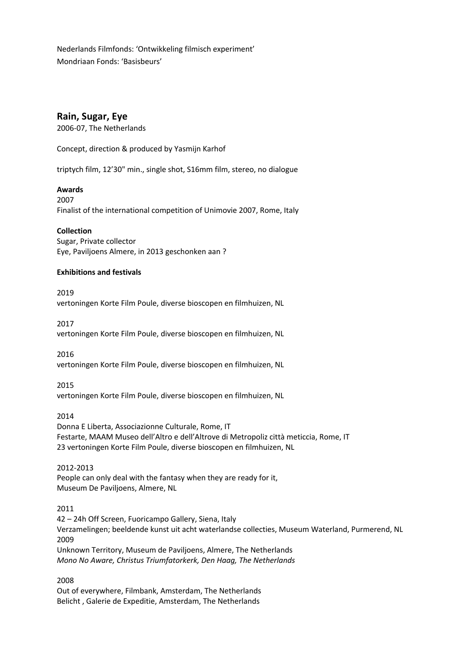Nederlands Filmfonds: 'Ontwikkeling filmisch experiment' Mondriaan Fonds: 'Basisbeurs'

# **Rain, Sugar, Eye**

2006-07, The Netherlands

Concept, direction & produced by Yasmijn Karhof

triptych film, 12'30" min., single shot, S16mm film, stereo, no dialogue

## **Awards**

2007 Finalist of the international competition of Unimovie 2007, Rome, Italy

**Collection**

Sugar, Private collector Eye, Paviljoens Almere, in 2013 geschonken aan ?

## **Exhibitions and festivals**

2019

vertoningen Korte Film Poule, diverse bioscopen en filmhuizen, NL

2017 vertoningen Korte Film Poule, diverse bioscopen en filmhuizen, NL

2016 vertoningen Korte Film Poule, diverse bioscopen en filmhuizen, NL

2015 vertoningen Korte Film Poule, diverse bioscopen en filmhuizen, NL

2014 Donna E Liberta, Associazionne Culturale, Rome, IT Festarte, MAAM Museo dell'Altro e dell'Altrove di Metropoliz città meticcia, Rome, IT 23 vertoningen Korte Film Poule, diverse bioscopen en filmhuizen, NL

2012-2013

People can only deal with the fantasy when they are ready for it, Museum De Paviljoens, Almere, NL

2011

42 – 24h Off Screen, Fuoricampo Gallery, Siena, Italy Verzamelingen; beeldende kunst uit acht waterlandse collecties, Museum Waterland, Purmerend, NL 2009 Unknown Territory, Museum de Paviljoens, Almere, The Netherlands *Mono No Aware, Christus Triumfatorkerk, Den Haag, The Netherlands*

2008 Out of everywhere, Filmbank, Amsterdam, The Netherlands Belicht , Galerie de Expeditie, Amsterdam, The Netherlands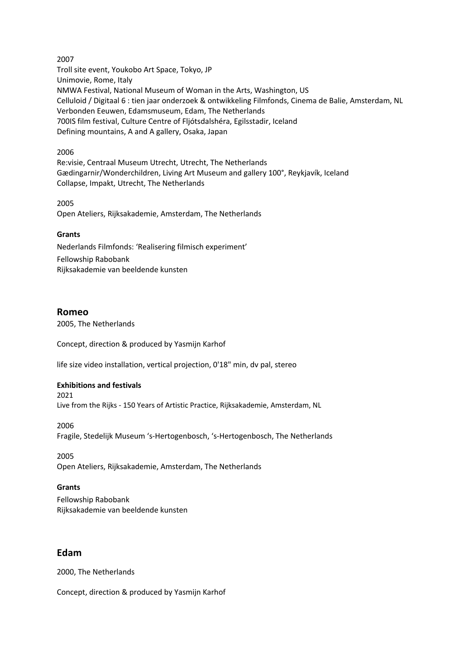2007 Troll site event, Youkobo Art Space, Tokyo, JP Unimovie, Rome, Italy NMWA Festival, National Museum of Woman in the Arts, Washington, US Celluloid / Digitaal 6 : tien jaar onderzoek & ontwikkeling Filmfonds, Cinema de Balie, Amsterdam, NL Verbonden Eeuwen, Edamsmuseum, Edam, The Netherlands 700IS film festival, Culture Centre of Fljótsdalshéra, Egilsstadir, Iceland Defining mountains, A and A gallery, Osaka, Japan

### 2006

Re:visie, Centraal Museum Utrecht, Utrecht, The Netherlands Gædingarnir/Wonderchildren, Living Art Museum and gallery 100°, Reykjavík, Iceland Collapse, Impakt, Utrecht, The Netherlands

2005 Open Ateliers, Rijksakademie, Amsterdam, The Netherlands

## **Grants**

Nederlands Filmfonds: 'Realisering filmisch experiment' Fellowship Rabobank Rijksakademie van beeldende kunsten

## **Romeo**

2005, The Netherlands

Concept, direction & produced by Yasmijn Karhof

life size video installation, vertical projection, 0'18" min, dv pal, stereo

### **Exhibitions and festivals**

2021 Live from the Rijks - 150 Years of Artistic Practice, Rijksakademie, Amsterdam, NL

2006 Fragile, Stedelijk Museum 's-Hertogenbosch, 's-Hertogenbosch, The Netherlands

2005 Open Ateliers, Rijksakademie, Amsterdam, The Netherlands

# **Grants**

Fellowship Rabobank Rijksakademie van beeldende kunsten

# **Edam**

2000, The Netherlands

Concept, direction & produced by Yasmijn Karhof